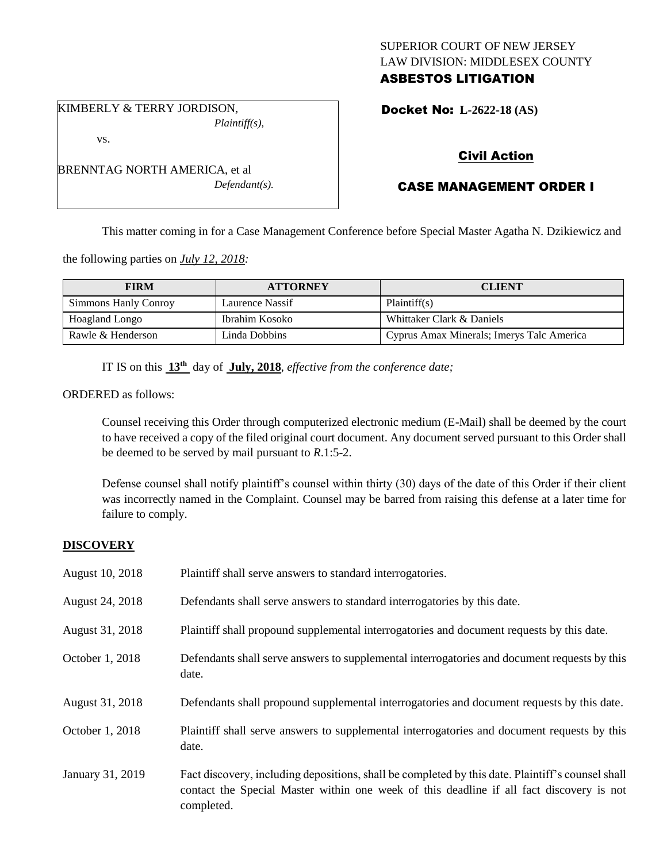# SUPERIOR COURT OF NEW JERSEY LAW DIVISION: MIDDLESEX COUNTY ASBESTOS LITIGATION

KIMBERLY & TERRY JORDISON, *Plaintiff(s),*

vs.

BRENNTAG NORTH AMERICA, et al *Defendant(s).* Docket No: **L-2622-18 (AS)** 

# Civil Action

# CASE MANAGEMENT ORDER I

This matter coming in for a Case Management Conference before Special Master Agatha N. Dzikiewicz and

the following parties on *July 12, 2018:*

| <b>FIRM</b>          | <b>ATTORNEY</b> | <b>CLIENT</b>                             |
|----------------------|-----------------|-------------------------------------------|
| Simmons Hanly Conroy | Laurence Nassif | Plaintiff(s)                              |
| Hoagland Longo       | Ibrahim Kosoko  | Whittaker Clark & Daniels                 |
| Rawle & Henderson    | Linda Dobbins   | Cyprus Amax Minerals; Imerys Talc America |

IT IS on this **13th** day of **July, 2018**, *effective from the conference date;*

ORDERED as follows:

Counsel receiving this Order through computerized electronic medium (E-Mail) shall be deemed by the court to have received a copy of the filed original court document. Any document served pursuant to this Order shall be deemed to be served by mail pursuant to *R*.1:5-2.

Defense counsel shall notify plaintiff's counsel within thirty (30) days of the date of this Order if their client was incorrectly named in the Complaint. Counsel may be barred from raising this defense at a later time for failure to comply.

## **DISCOVERY**

| August 10, 2018  | Plaintiff shall serve answers to standard interrogatories.                                                                                                                                                  |
|------------------|-------------------------------------------------------------------------------------------------------------------------------------------------------------------------------------------------------------|
| August 24, 2018  | Defendants shall serve answers to standard interrogatories by this date.                                                                                                                                    |
| August 31, 2018  | Plaintiff shall propound supplemental interrogatories and document requests by this date.                                                                                                                   |
| October 1, 2018  | Defendants shall serve answers to supplemental interrogatories and document requests by this<br>date.                                                                                                       |
| August 31, 2018  | Defendants shall propound supplemental interrogatories and document requests by this date.                                                                                                                  |
| October 1, 2018  | Plaintiff shall serve answers to supplemental interrogatories and document requests by this<br>date.                                                                                                        |
| January 31, 2019 | Fact discovery, including depositions, shall be completed by this date. Plaintiff's counsel shall<br>contact the Special Master within one week of this deadline if all fact discovery is not<br>completed. |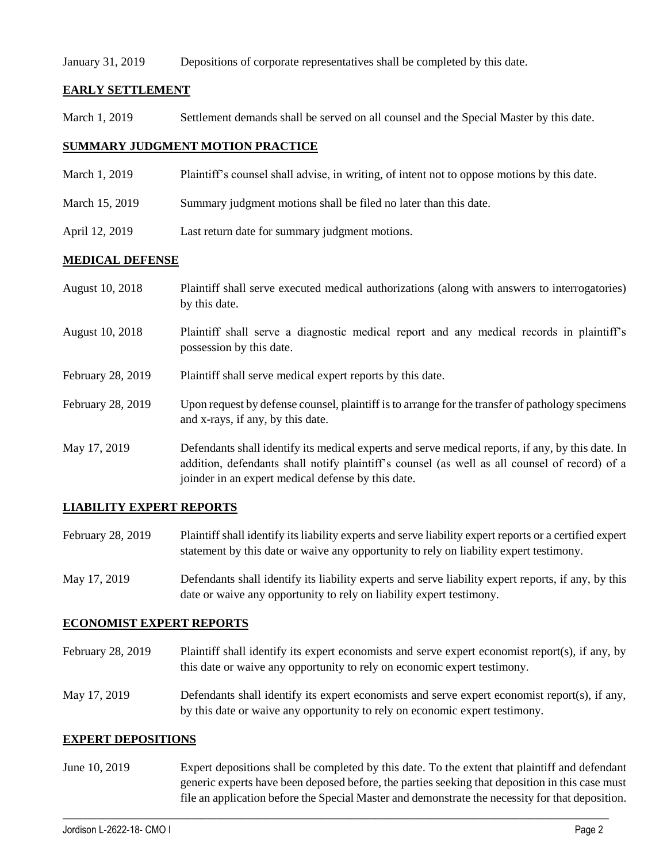### January 31, 2019 Depositions of corporate representatives shall be completed by this date.

## **EARLY SETTLEMENT**

March 1, 2019 Settlement demands shall be served on all counsel and the Special Master by this date.

## **SUMMARY JUDGMENT MOTION PRACTICE**

- March 1, 2019 Plaintiff's counsel shall advise, in writing, of intent not to oppose motions by this date.
- March 15, 2019 Summary judgment motions shall be filed no later than this date.
- April 12, 2019 Last return date for summary judgment motions.

### **MEDICAL DEFENSE**

| August 10, 2018   | Plaintiff shall serve executed medical authorizations (along with answers to interrogatories)<br>by this date.                                                                                                                                           |
|-------------------|----------------------------------------------------------------------------------------------------------------------------------------------------------------------------------------------------------------------------------------------------------|
| August 10, 2018   | Plaintiff shall serve a diagnostic medical report and any medical records in plaintiff's<br>possession by this date.                                                                                                                                     |
| February 28, 2019 | Plaintiff shall serve medical expert reports by this date.                                                                                                                                                                                               |
| February 28, 2019 | Upon request by defense counsel, plaintiff is to arrange for the transfer of pathology specimens<br>and x-rays, if any, by this date.                                                                                                                    |
| May 17, 2019      | Defendants shall identify its medical experts and serve medical reports, if any, by this date. In<br>addition, defendants shall notify plaintiff's counsel (as well as all counsel of record) of a<br>joinder in an expert medical defense by this date. |

## **LIABILITY EXPERT REPORTS**

- February 28, 2019 Plaintiff shall identify its liability experts and serve liability expert reports or a certified expert statement by this date or waive any opportunity to rely on liability expert testimony.
- May 17, 2019 Defendants shall identify its liability experts and serve liability expert reports, if any, by this date or waive any opportunity to rely on liability expert testimony.

### **ECONOMIST EXPERT REPORTS**

- February 28, 2019 Plaintiff shall identify its expert economists and serve expert economist report(s), if any, by this date or waive any opportunity to rely on economic expert testimony.
- May 17, 2019 Defendants shall identify its expert economists and serve expert economist report(s), if any, by this date or waive any opportunity to rely on economic expert testimony.

### **EXPERT DEPOSITIONS**

June 10, 2019 Expert depositions shall be completed by this date. To the extent that plaintiff and defendant generic experts have been deposed before, the parties seeking that deposition in this case must file an application before the Special Master and demonstrate the necessity for that deposition.

 $\_$  ,  $\_$  ,  $\_$  ,  $\_$  ,  $\_$  ,  $\_$  ,  $\_$  ,  $\_$  ,  $\_$  ,  $\_$  ,  $\_$  ,  $\_$  ,  $\_$  ,  $\_$  ,  $\_$  ,  $\_$  ,  $\_$  ,  $\_$  ,  $\_$  ,  $\_$  ,  $\_$  ,  $\_$  ,  $\_$  ,  $\_$  ,  $\_$  ,  $\_$  ,  $\_$  ,  $\_$  ,  $\_$  ,  $\_$  ,  $\_$  ,  $\_$  ,  $\_$  ,  $\_$  ,  $\_$  ,  $\_$  ,  $\_$  ,